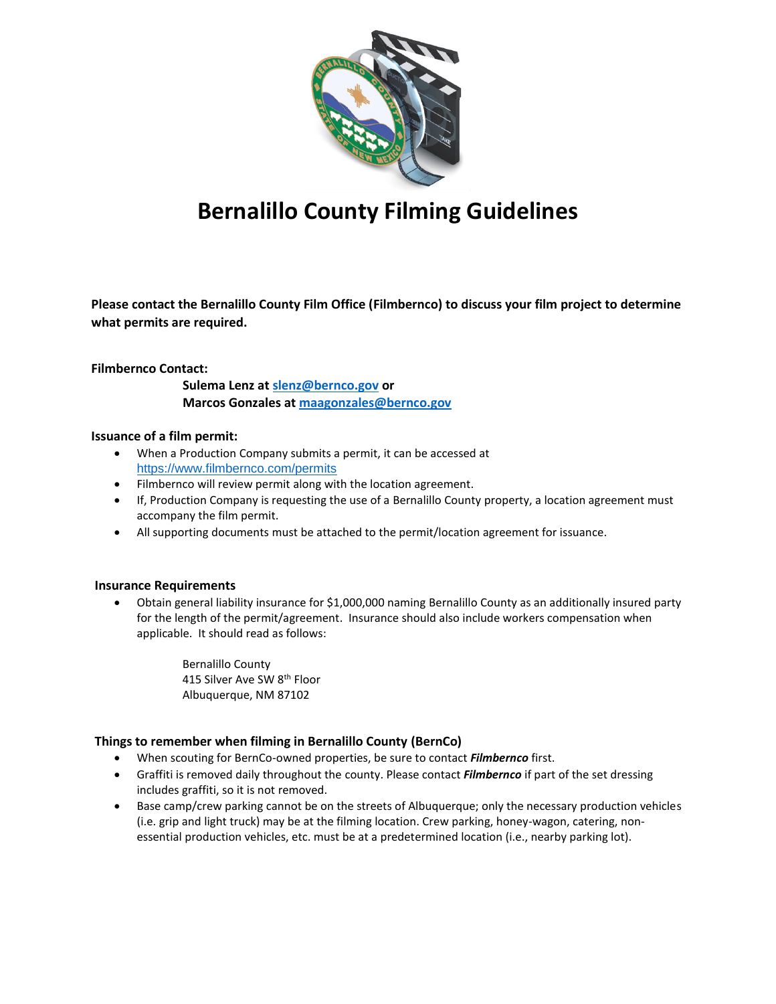

# **Bernalillo County Filming Guidelines**

**Please contact the Bernalillo County Film Office (Filmbernco) to discuss your film project to determine what permits are required.** 

## **Filmbernco Contact:**

 **Sulema Lenz at [slenz@bernco.gov](mailto:slenz@bernco.gov) or Marcos Gonzales at [maagonzales@bernco.gov](mailto:maagonzales@bernco.gov)**

## **Issuance of a film permit:**

- When a Production Company submits a permit, it can be accessed at <https://www.filmbernco.com/permits>
- Filmbernco will review permit along with the location agreement.
- If, Production Company is requesting the use of a Bernalillo County property, a location agreement must accompany the film permit.
- All supporting documents must be attached to the permit/location agreement for issuance.

## **Insurance Requirements**

 Obtain general liability insurance for \$1,000,000 naming Bernalillo County as an additionally insured party for the length of the permit/agreement. Insurance should also include workers compensation when applicable. It should read as follows:

> Bernalillo County 415 Silver Ave SW 8th Floor Albuquerque, NM 87102

## **Things to remember when filming in Bernalillo County (BernCo)**

- When scouting for BernCo-owned properties, be sure to contact *Filmbernco* first.
- Graffiti is removed daily throughout the county. Please contact *Filmbernco* if part of the set dressing includes graffiti, so it is not removed.
- Base camp/crew parking cannot be on the streets of Albuquerque; only the necessary production vehicles (i.e. grip and light truck) may be at the filming location. Crew parking, honey-wagon, catering, nonessential production vehicles, etc. must be at a predetermined location (i.e., nearby parking lot).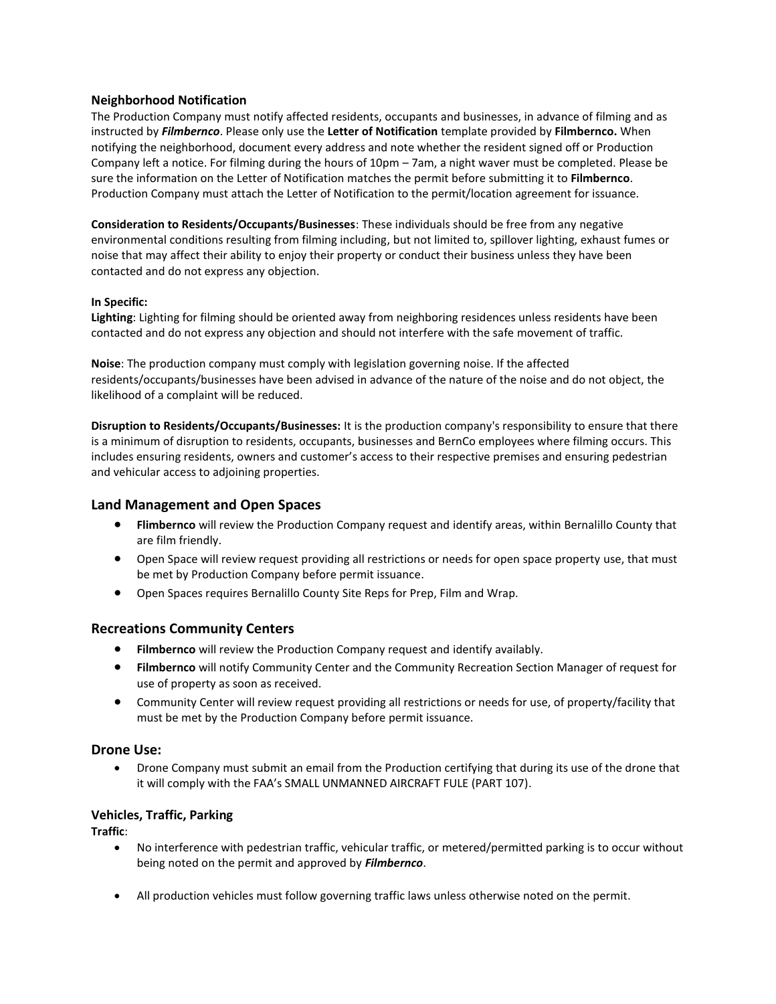## **Neighborhood Notification**

The Production Company must notify affected residents, occupants and businesses, in advance of filming and as instructed by *Filmbernco*. Please only use the **Letter of Notification** template provided by **Filmbernco.** When notifying the neighborhood, document every address and note whether the resident signed off or Production Company left a notice. For filming during the hours of 10pm – 7am, a night waver must be completed. Please be sure the information on the Letter of Notification matches the permit before submitting it to **Filmbernco**. Production Company must attach the Letter of Notification to the permit/location agreement for issuance.

**Consideration to Residents/Occupants/Businesses**: These individuals should be free from any negative environmental conditions resulting from filming including, but not limited to, spillover lighting, exhaust fumes or noise that may affect their ability to enjoy their property or conduct their business unless they have been contacted and do not express any objection.

## **In Specific:**

**Lighting**: Lighting for filming should be oriented away from neighboring residences unless residents have been contacted and do not express any objection and should not interfere with the safe movement of traffic.

**Noise**: The production company must comply with legislation governing noise. If the affected residents/occupants/businesses have been advised in advance of the nature of the noise and do not object, the likelihood of a complaint will be reduced.

**Disruption to Residents/Occupants/Businesses:** It is the production company's responsibility to ensure that there is a minimum of disruption to residents, occupants, businesses and BernCo employees where filming occurs. This includes ensuring residents, owners and customer's access to their respective premises and ensuring pedestrian and vehicular access to adjoining properties.

## **Land Management and Open Spaces**

- **Flimbernco** will review the Production Company request and identify areas, within Bernalillo County that are film friendly.
- Open Space will review request providing all restrictions or needs for open space property use, that must be met by Production Company before permit issuance.
- Open Spaces requires Bernalillo County Site Reps for Prep, Film and Wrap.

## **Recreations Community Centers**

- **Filmbernco** will review the Production Company request and identify availably.
- **Filmbernco** will notify Community Center and the Community Recreation Section Manager of request for use of property as soon as received.
- Community Center will review request providing all restrictions or needs for use, of property/facility that must be met by the Production Company before permit issuance.

## **Drone Use:**

 Drone Company must submit an email from the Production certifying that during its use of the drone that it will comply with the FAA's SMALL UNMANNED AIRCRAFT FULE (PART 107).

## **Vehicles, Traffic, Parking**

**Traffic**:

- No interference with pedestrian traffic, vehicular traffic, or metered/permitted parking is to occur without being noted on the permit and approved by *Filmbernco*.
- All production vehicles must follow governing traffic laws unless otherwise noted on the permit.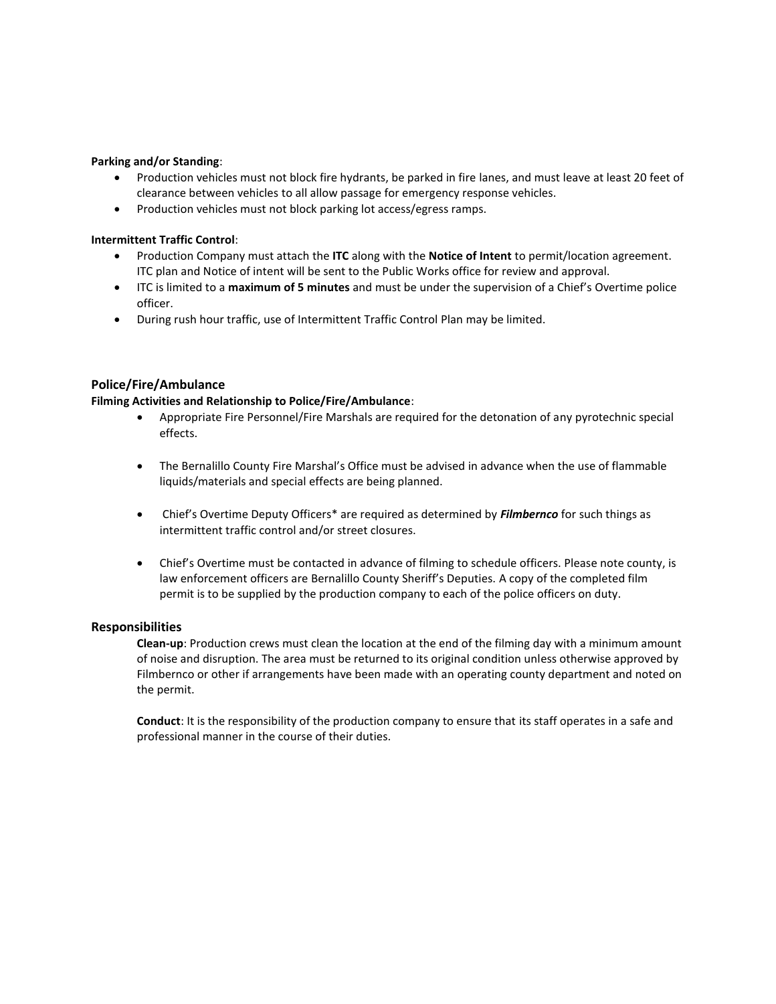#### **Parking and/or Standing**:

- Production vehicles must not block fire hydrants, be parked in fire lanes, and must leave at least 20 feet of clearance between vehicles to all allow passage for emergency response vehicles.
- Production vehicles must not block parking lot access/egress ramps.

## **Intermittent Traffic Control**:

- Production Company must attach the **ITC** along with the **Notice of Intent** to permit/location agreement. ITC plan and Notice of intent will be sent to the Public Works office for review and approval.
- ITC is limited to a **maximum of 5 minutes** and must be under the supervision of a Chief's Overtime police officer.
- During rush hour traffic, use of Intermittent Traffic Control Plan may be limited.

## **Police/Fire/Ambulance**

## **Filming Activities and Relationship to Police/Fire/Ambulance**:

- Appropriate Fire Personnel/Fire Marshals are required for the detonation of any pyrotechnic special effects.
- The Bernalillo County Fire Marshal's Office must be advised in advance when the use of flammable liquids/materials and special effects are being planned.
- Chief's Overtime Deputy Officers\* are required as determined by *Filmbernco* for such things as intermittent traffic control and/or street closures.
- Chief's Overtime must be contacted in advance of filming to schedule officers. Please note county, is law enforcement officers are Bernalillo County Sheriff's Deputies. A copy of the completed film permit is to be supplied by the production company to each of the police officers on duty.

## **Responsibilities**

**Clean-up**: Production crews must clean the location at the end of the filming day with a minimum amount of noise and disruption. The area must be returned to its original condition unless otherwise approved by Filmbernco or other if arrangements have been made with an operating county department and noted on the permit.

**Conduct**: It is the responsibility of the production company to ensure that its staff operates in a safe and professional manner in the course of their duties.